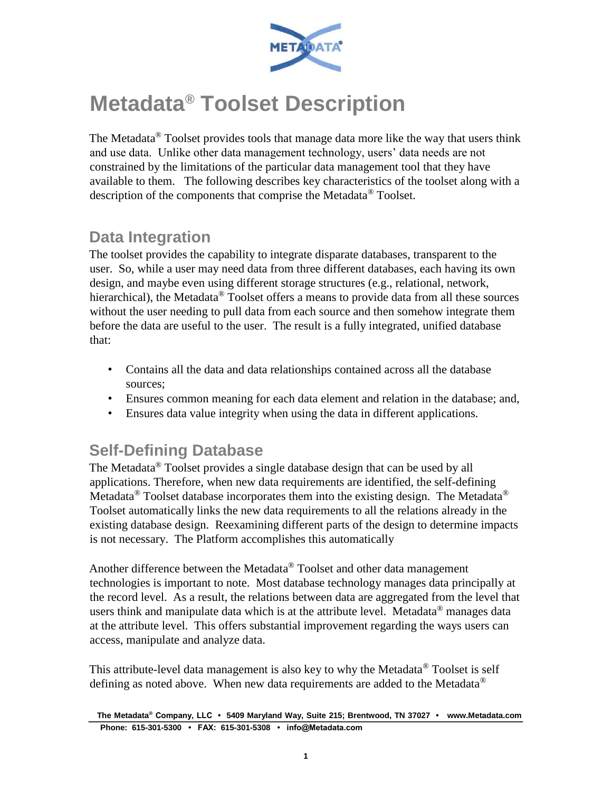

# **Metadata® Toolset Description**

The Metadata<sup>®</sup> Toolset provides tools that manage data more like the way that users think and use data. Unlike other data management technology, users' data needs are not constrained by the limitations of the particular data management tool that they have available to them. The following describes key characteristics of the toolset along with a description of the components that comprise the Metadata<sup>®</sup> Toolset.

### **Data Integration**

The toolset provides the capability to integrate disparate databases, transparent to the user. So, while a user may need data from three different databases, each having its own design, and maybe even using different storage structures (e.g., relational, network, hierarchical), the Metadata<sup>®</sup> Toolset offers a means to provide data from all these sources without the user needing to pull data from each source and then somehow integrate them before the data are useful to the user. The result is a fully integrated, unified database that:

- Contains all the data and data relationships contained across all the database sources;
- Ensures common meaning for each data element and relation in the database; and,
- Ensures data value integrity when using the data in different applications.

### **Self-Defining Database**

The Metadata® Toolset provides a single database design that can be used by all applications. Therefore, when new data requirements are identified, the self-defining Metadata<sup>®</sup> Toolset database incorporates them into the existing design. The Metadata<sup>®</sup> Toolset automatically links the new data requirements to all the relations already in the existing database design. Reexamining different parts of the design to determine impacts is not necessary. The Platform accomplishes this automatically

Another difference between the Metadata<sup>®</sup> Toolset and other data management technologies is important to note. Most database technology manages data principally at the record level. As a result, the relations between data are aggregated from the level that users think and manipulate data which is at the attribute level. Metadata<sup>®</sup> manages data at the attribute level. This offers substantial improvement regarding the ways users can access, manipulate and analyze data.

This attribute-level data management is also key to why the Metadata<sup>®</sup> Toolset is self defining as noted above. When new data requirements are added to the Metadata®

**The Metadata® Company, LLC • 5409 Maryland Way, Suite 215; Brentwood, TN 37027 • www.Metadata.com Phone: 615-301-5300 • FAX: 615-301-5308 • info@Metadata.com**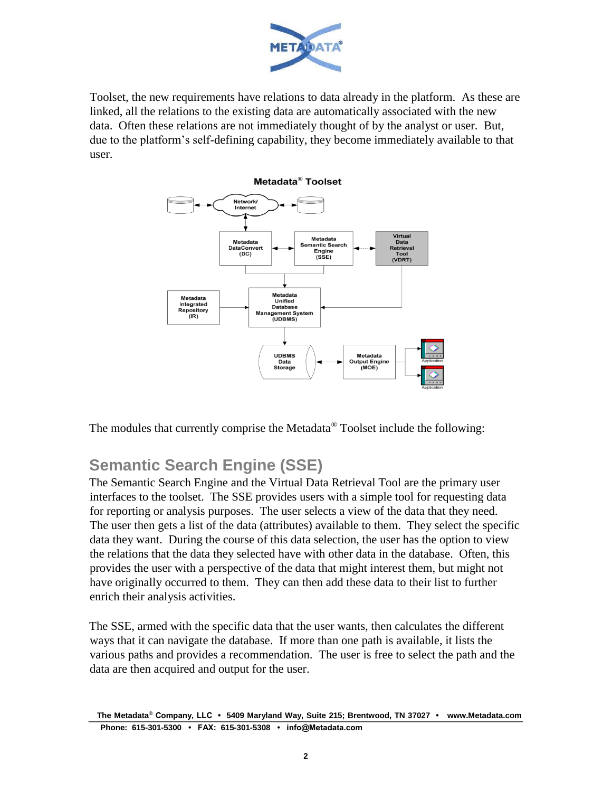

Toolset, the new requirements have relations to data already in the platform. As these are linked, all the relations to the existing data are automatically associated with the new data. Often these relations are not immediately thought of by the analyst or user. But, due to the platform's self-defining capability, they become immediately available to that user.



The modules that currently comprise the Metadata® Toolset include the following:

# **Semantic Search Engine (SSE)**

The Semantic Search Engine and the Virtual Data Retrieval Tool are the primary user interfaces to the toolset. The SSE provides users with a simple tool for requesting data for reporting or analysis purposes. The user selects a view of the data that they need. The user then gets a list of the data (attributes) available to them. They select the specific data they want. During the course of this data selection, the user has the option to view the relations that the data they selected have with other data in the database. Often, this provides the user with a perspective of the data that might interest them, but might not have originally occurred to them. They can then add these data to their list to further enrich their analysis activities.

The SSE, armed with the specific data that the user wants, then calculates the different ways that it can navigate the database. If more than one path is available, it lists the various paths and provides a recommendation. The user is free to select the path and the data are then acquired and output for the user.

**The Metadata® Company, LLC • 5409 Maryland Way, Suite 215; Brentwood, TN 37027 • www.Metadata.com Phone: 615-301-5300 • FAX: 615-301-5308 • info@Metadata.com**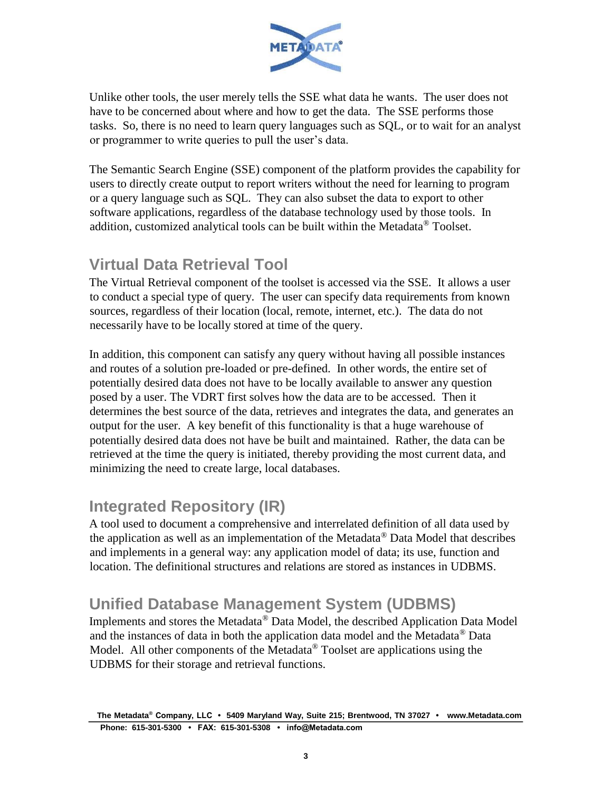

Unlike other tools, the user merely tells the SSE what data he wants. The user does not have to be concerned about where and how to get the data. The SSE performs those tasks. So, there is no need to learn query languages such as SQL, or to wait for an analyst or programmer to write queries to pull the user's data.

The Semantic Search Engine (SSE) component of the platform provides the capability for users to directly create output to report writers without the need for learning to program or a query language such as SQL. They can also subset the data to export to other software applications, regardless of the database technology used by those tools. In addition, customized analytical tools can be built within the Metadata<sup>®</sup> Toolset.

### **Virtual Data Retrieval Tool**

The Virtual Retrieval component of the toolset is accessed via the SSE. It allows a user to conduct a special type of query. The user can specify data requirements from known sources, regardless of their location (local, remote, internet, etc.). The data do not necessarily have to be locally stored at time of the query.

In addition, this component can satisfy any query without having all possible instances and routes of a solution pre-loaded or pre-defined. In other words, the entire set of potentially desired data does not have to be locally available to answer any question posed by a user. The VDRT first solves how the data are to be accessed. Then it determines the best source of the data, retrieves and integrates the data, and generates an output for the user. A key benefit of this functionality is that a huge warehouse of potentially desired data does not have be built and maintained. Rather, the data can be retrieved at the time the query is initiated, thereby providing the most current data, and minimizing the need to create large, local databases.

# **Integrated Repository (IR)**

A tool used to document a comprehensive and interrelated definition of all data used by the application as well as an implementation of the Metadata® Data Model that describes and implements in a general way: any application model of data; its use, function and location. The definitional structures and relations are stored as instances in UDBMS.

# **Unified Database Management System (UDBMS)**

Implements and stores the Metadata® Data Model, the described Application Data Model and the instances of data in both the application data model and the Metadata® Data Model. All other components of the Metadata<sup>®</sup> Toolset are applications using the UDBMS for their storage and retrieval functions.

**The Metadata® Company, LLC • 5409 Maryland Way, Suite 215; Brentwood, TN 37027 • www.Metadata.com Phone: 615-301-5300 • FAX: 615-301-5308 • info@Metadata.com**